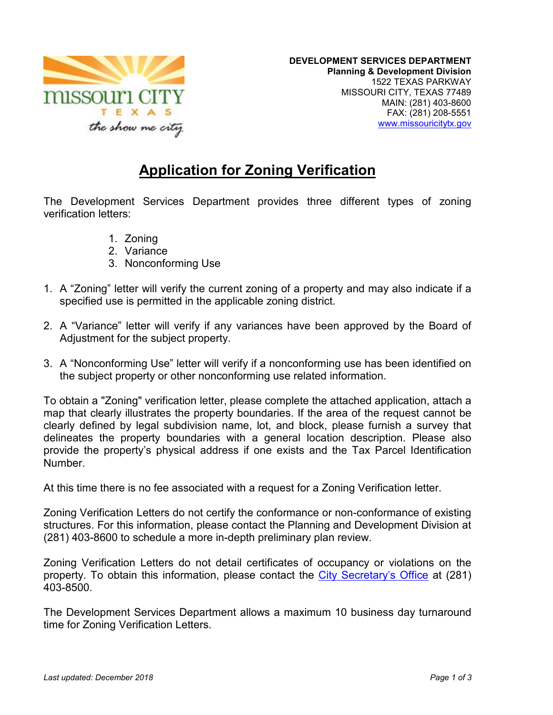

## **Application for Zoning Verification**

The Development Services Department provides three different types of zoning verification letters:

- 1. Zoning
- 2. Variance
- 3. Nonconforming Use
- 1. A "Zoning" letter will verify the current zoning of a property and may also indicate if a specified use is permitted in the applicable zoning district.
- 2. A "Variance" letter will verify if any variances have been approved by the Board of Adjustment for the subject property.
- 3. A "Nonconforming Use" letter will verify if a nonconforming use has been identified on the subject property or other nonconforming use related information.

To obtain a "Zoning" verification letter, please complete the attached application, attach a map that clearly illustrates the property boundaries. If the area of the request cannot be clearly defined by legal subdivision name, lot, and block, please furnish a survey that delineates the property boundaries with a general location description. Please also provide the property's physical address if one exists and the Tax Parcel Identification Number.

At this time there is no fee associated with a request for a Zoning Verification letter.

Zoning Verification Letters do not certify the conformance or non-conformance of existing structures. For this information, please contact the Planning and Development Division at (281) 403-8600 to schedule a more in-depth preliminary plan review.

Zoning Verification Letters do not detail certificates of occupancy or violations on the property. To obtain this information, please contact the City Secretary's Office at (281) 403-8500.

The Development Services Department allows a maximum 10 business day turnaround time for Zoning Verification Letters.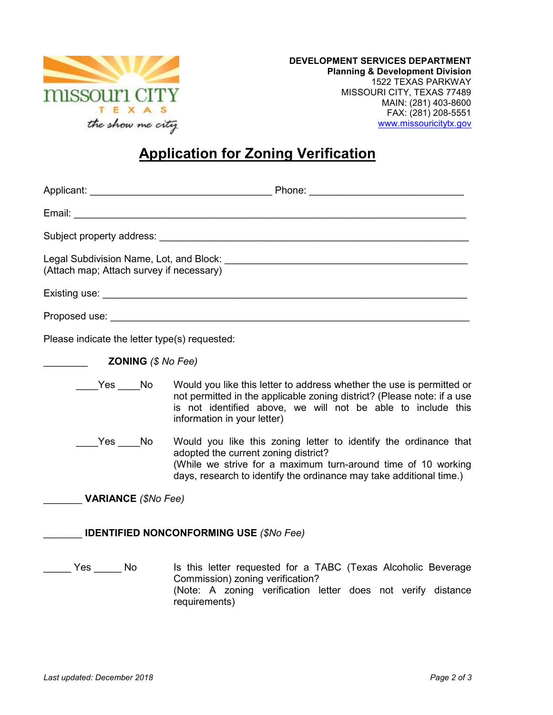

## **Application for Zoning Verification**

| (Attach map; Attach survey if necessary)      |                                                                                                                                                                                                                                                        |
|-----------------------------------------------|--------------------------------------------------------------------------------------------------------------------------------------------------------------------------------------------------------------------------------------------------------|
|                                               |                                                                                                                                                                                                                                                        |
|                                               |                                                                                                                                                                                                                                                        |
| Please indicate the letter type(s) requested: |                                                                                                                                                                                                                                                        |
| <b>ZONING</b> $(S$ <i>No Fee)</i>             |                                                                                                                                                                                                                                                        |
|                                               | Yes No Would you like this letter to address whether the use is permitted or<br>not permitted in the applicable zoning district? (Please note: if a use<br>is not identified above, we will not be able to include this<br>information in your letter) |
| Yes _____No                                   | Would you like this zoning letter to identify the ordinance that<br>adopted the current zoning district?<br>(While we strive for a maximum turn-around time of 10 working<br>days, research to identify the ordinance may take additional time.)       |
| <b>VARIANCE</b> (\$No Fee)                    |                                                                                                                                                                                                                                                        |

## \_\_\_\_\_\_\_ **IDENTIFIED NONCONFORMING USE** *(\$No Fee)*

Lacker Yes \_\_\_\_\_ No Is this letter requested for a TABC (Texas Alcoholic Beverage Commission) zoning verification? (Note: A zoning verification letter does not verify distance requirements)